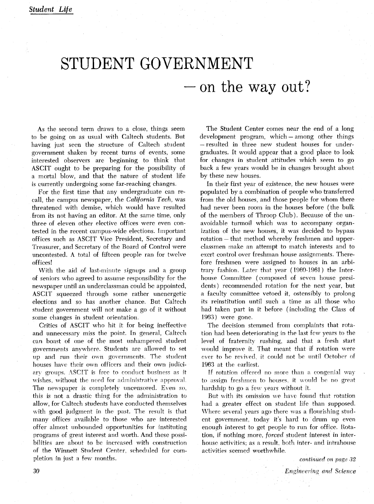## STUDENT GOVERNMENT  $-\text{on}$  the way out?

As the second term draws to a close, things seem to be going on as usual with Caltech students. But having just seen the structure of Caltech student government shaken by recent turns of events, some interested observers are beginning to think that ASCIT ought to be preparing for the possibility of a mortal blow, and that the nature of student life is currently undergoing some far-reaching changes.

For the first time that any undergraduate can recall, the campus newspaper, the *California Tech,* was threatened with demise, which would have resulted from its not having an editor. At the same time, only three of eleven other elective offices were even contested in the recent campus-wide elections. Important offices such as ASCIT Vice President, Secretary and Treasurer, and Secretary of the Board of Control were uncontested. A total of fifteen people ran for twelve offices!

With the aid of last-minute signups and a group of seniors who agreed to assume responsibility for the newspaper until an underclassman could be appointed, ASCIT squeezed through some rather unenergetic elections and so has another chance. But Caltech student government will not make a go of it without some changes in student orientation.

Critics of ASCIT who hit it for being ineffective and unnecessary miss the point. In general, Caltech can boast of one of the most unhampered student governments anvwhere. Students are allowed to set up and run their own governments. The student houses have their own officers and their own judiciary groups. ASCIT is free to conduct business as it wishes, without the need for administrative approval. The newspaper is completely uncensored. Even so, this is not a drastic thing for the administration to allow, for Caltech students have conducted themselves with good judgment in the past. The result is that many offices available to those who are interested offer almost unbounded opportunities for instituting programs of great interest and worth. And these possibilities are about to be increased with construction of the Winnett Student Center, scheduled for completion in just a few months.

The Student Center comes near the end of a long development program, which – among other things -resulted in three new student houses for undergraduates. It would appear that a good place to look for changes in student attitudes which seem to go back a few years would be in changes brought about by these new houses.

In their first year of existence, the new houses were populated by a combination of people who transferred from the old houses, and those people for whom there had never been room in the houses before (the bulk of the members of Throop Club). Because of the unavoidable turmoil which was to accompany organization of the new houses, it was decided to bypass rotation – that method whereby freshmen and upperclassmen make an attempt to match interests and to exert control over freshman house assignments. Therefore freshmen were assigned to houses in an arbitrary fashion. Later that year (1960-1961) the Interhouse Committee (composed of seven house presidents) recommended rotation for the next year, but a faculty committee vetoed it, ostensibly to prolong its reinstitution until such a time as all those who had taken part in it before (including the Class of 1963) were gone.

The decision stemmed from complaints that rotation had been deteriorating in the last few years to the level of fraternity rushing, and that a fresh start would improve it. That meant that if rotation were ever to be revived, it could not be until October of 1963 at the earliest.

If rotation offered no more than a congenial way to assign freshmen to houses, it would be no great hardship to go a few years without it.

But with its omission we have found that rotation had a greater effect on student life than supposed. Where several years ago there was a flourishing student government, today it's hard to drum up even enough interest to get people to run for office. Rotation, if nothing more, *forced* student interest in interhouse activities; as a result, both inter- and intrahouse activities seemed worthwhile.

**continued** on *page 32*